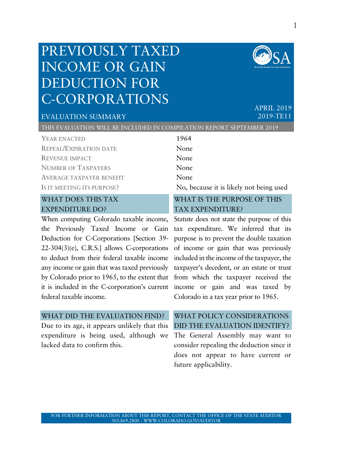## PREVIOUSLY TAXED INCOME OR GAIN DEDUCTION FOR C-CORPORATIONS



APRIL 2019 2019-TE11

## EVALUATION SUMMARY

THIS EVALUATION WILL BE INCLUDED IN COMPILATION REPORT SEPTEMBER 2019

YEAR ENACTED 1964 REPEAL/EXPIRATION DATE None REVENUE IMPACT None NUMBER OF TAXPAYERS None AVERAGE TAXPAYER BENEFIT None

#### WHAT DOES THIS TAX EXPENDITURE DO?

When computing Colorado taxable income, the Previously Taxed Income or Gain Deduction for C-Corporations [Section 39- 22-304(3)(e), C.R.S.] allows C-corporations to deduct from their federal taxable income any income or gain that was taxed previously by Colorado prior to 1965, to the extent that from which the taxpayer received the it is included in the C-corporation's current federal taxable income.

#### WHAT DID THE EVALUATION FIND?

Due to its age, it appears unlikely that this expenditure is being used, although we lacked data to confirm this.

IS IT MEETING ITS PURPOSE? No, because it is likely not being used

#### WHAT IS THE PURPOSE OF THIS TAX EXPENDITURE?

Statute does not state the purpose of this tax expenditure. We inferred that its purpose is to prevent the double taxation of income or gain that was previously included in the income of the taxpayer, the taxpayer's decedent, or an estate or trust income or gain and was taxed by Colorado in a tax year prior to 1965.

#### WHAT POLICY CONSIDERATIONS DID THE EVALUATION IDENTIFY?

The General Assembly may want to consider repealing the deduction since it does not appear to have current or future applicability.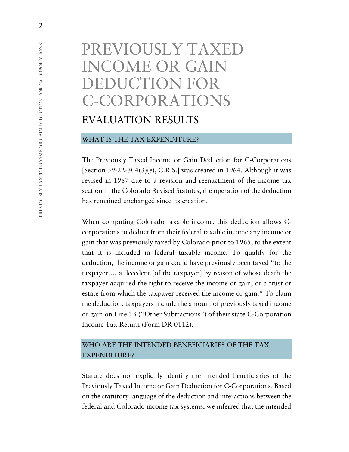# PREVIOUSLY TAXED INCOME OR GAIN DEDUCTION FOR C-CORPORATIONS EVALUATION RESULTS

#### WHAT IS THE TAX EXPENDITURE?

The Previously Taxed Income or Gain Deduction for C-Corporations [Section 39-22-304(3)(e), C.R.S.] was created in 1964. Although it was revised in 1987 due to a revision and reenactment of the income tax section in the Colorado Revised Statutes, the operation of the deduction has remained unchanged since its creation.

When computing Colorado taxable income, this deduction allows Ccorporations to deduct from their federal taxable income any income or gain that was previously taxed by Colorado prior to 1965, to the extent that it is included in federal taxable income. To qualify for the deduction, the income or gain could have previously been taxed "to the taxpayer…, a decedent [of the taxpayer] by reason of whose death the taxpayer acquired the right to receive the income or gain, or a trust or estate from which the taxpayer received the income or gain." To claim the deduction, taxpayers include the amount of previously taxed income or gain on Line 13 ("Other Subtractions") of their state C-Corporation Income Tax Return (Form DR 0112).

#### WHO ARE THE INTENDED BENEFICIARIES OF THE TAX EXPENDITURE?

Statute does not explicitly identify the intended beneficiaries of the Previously Taxed Income or Gain Deduction for C-Corporations. Based on the statutory language of the deduction and interactions between the federal and Colorado income tax systems, we inferred that the intended

2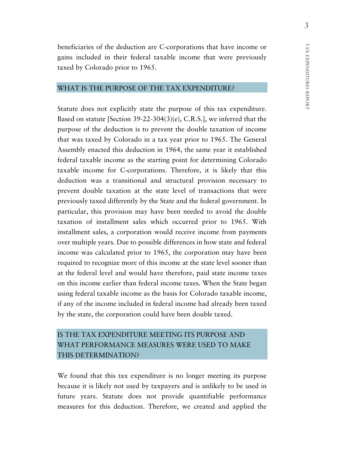beneficiaries of the deduction are C-corporations that have income or gains included in their federal taxable income that were previously taxed by Colorado prior to 1965.

#### WHAT IS THE PURPOSE OF THE TAX EXPENDITURE?

Statute does not explicitly state the purpose of this tax expenditure. Based on statute [Section 39-22-304(3)(e), C.R.S.], we inferred that the purpose of the deduction is to prevent the double taxation of income that was taxed by Colorado in a tax year prior to 1965. The General Assembly enacted this deduction in 1964, the same year it established federal taxable income as the starting point for determining Colorado taxable income for C-corporations. Therefore, it is likely that this deduction was a transitional and structural provision necessary to prevent double taxation at the state level of transactions that were previously taxed differently by the State and the federal government. In particular, this provision may have been needed to avoid the double taxation of installment sales which occurred prior to 1965. With installment sales, a corporation would receive income from payments over multiple years. Due to possible differences in how state and federal income was calculated prior to 1965, the corporation may have been required to recognize more of this income at the state level sooner than at the federal level and would have therefore, paid state income taxes on this income earlier than federal income taxes. When the State began using federal taxable income as the basis for Colorado taxable income, if any of the income included in federal income had already been taxed by the state, the corporation could have been double taxed.

## IS THE TAX EXPENDITURE MEETING ITS PURPOSE AND WHAT PERFORMANCE MEASURES WERE USED TO MAKE THIS DETERMINATION?

We found that this tax expenditure is no longer meeting its purpose because it is likely not used by taxpayers and is unlikely to be used in future years. Statute does not provide quantifiable performance measures for this deduction. Therefore, we created and applied the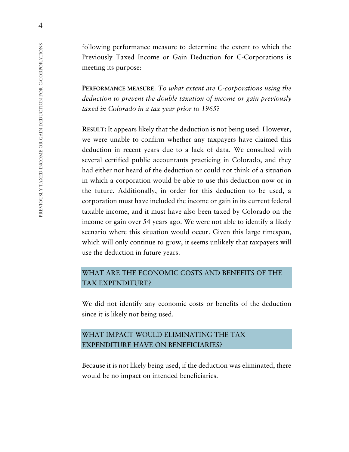following performance measure to determine the extent to which the Previously Taxed Income or Gain Deduction for C-Corporations is meeting its purpose:

**PERFORMANCE MEASURE**: *To what extent are C-corporations using the deduction to prevent the double taxation of income or gain previously taxed in Colorado in a tax year prior to 1965*?

**RESULT:** It appears likely that the deduction is not being used. However, we were unable to confirm whether any taxpayers have claimed this deduction in recent years due to a lack of data. We consulted with several certified public accountants practicing in Colorado, and they had either not heard of the deduction or could not think of a situation in which a corporation would be able to use this deduction now or in the future. Additionally, in order for this deduction to be used, a corporation must have included the income or gain in its current federal taxable income, and it must have also been taxed by Colorado on the income or gain over 54 years ago. We were not able to identify a likely scenario where this situation would occur. Given this large timespan, which will only continue to grow, it seems unlikely that taxpayers will use the deduction in future years.

#### WHAT ARE THE ECONOMIC COSTS AND BENEFITS OF THE TAX EXPENDITURE?

We did not identify any economic costs or benefits of the deduction since it is likely not being used.

#### WHAT IMPACT WOULD ELIMINATING THE TAX EXPENDITURE HAVE ON BENEFICIARIES?

Because it is not likely being used, if the deduction was eliminated, there would be no impact on intended beneficiaries.

4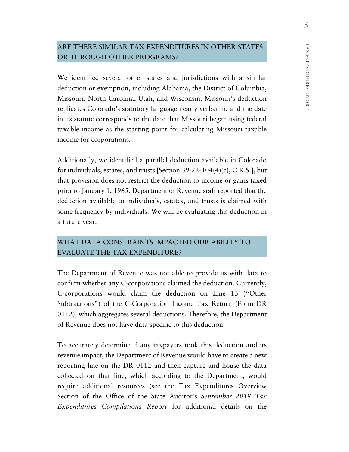## ARE THERE SIMILAR TAX EXPENDITURES IN OTHER STATES OR THROUGH OTHER PROGRAMS?

We identified several other states and jurisdictions with a similar deduction or exemption, including Alabama, the District of Columbia, Missouri, North Carolina, Utah, and Wisconsin. Missouri's deduction replicates Colorado's statutory language nearly verbatim, and the date in its statute corresponds to the date that Missouri began using federal taxable income as the starting point for calculating Missouri taxable income for corporations.

Additionally, we identified a parallel deduction available in Colorado for individuals, estates, and trusts [Section 39-22-104(4)(c), C.R.S.], but that provision does not restrict the deduction to income or gains taxed prior to January 1, 1965. Department of Revenue staff reported that the deduction available to individuals, estates, and trusts is claimed with some frequency by individuals. We will be evaluating this deduction in a future year.

#### WHAT DATA CONSTRAINTS IMPACTED OUR ABILITY TO EVALUATE THE TAX EXPENDITURE?

The Department of Revenue was not able to provide us with data to confirm whether any C-corporations claimed the deduction. Currently, C-corporations would claim the deduction on Line 13 ("Other Subtractions") of the C-Corporation Income Tax Return (Form DR 0112), which aggregates several deductions. Therefore, the Department of Revenue does not have data specific to this deduction.

To accurately determine if any taxpayers took this deduction and its revenue impact, the Department of Revenue would have to create a new reporting line on the DR 0112 and then capture and house the data collected on that line, which according to the Department, would require additional resources (see the Tax Expenditures Overview Section of the Office of the State Auditor's *September 2018 Tax Expenditures Compilations Report* for additional details on the